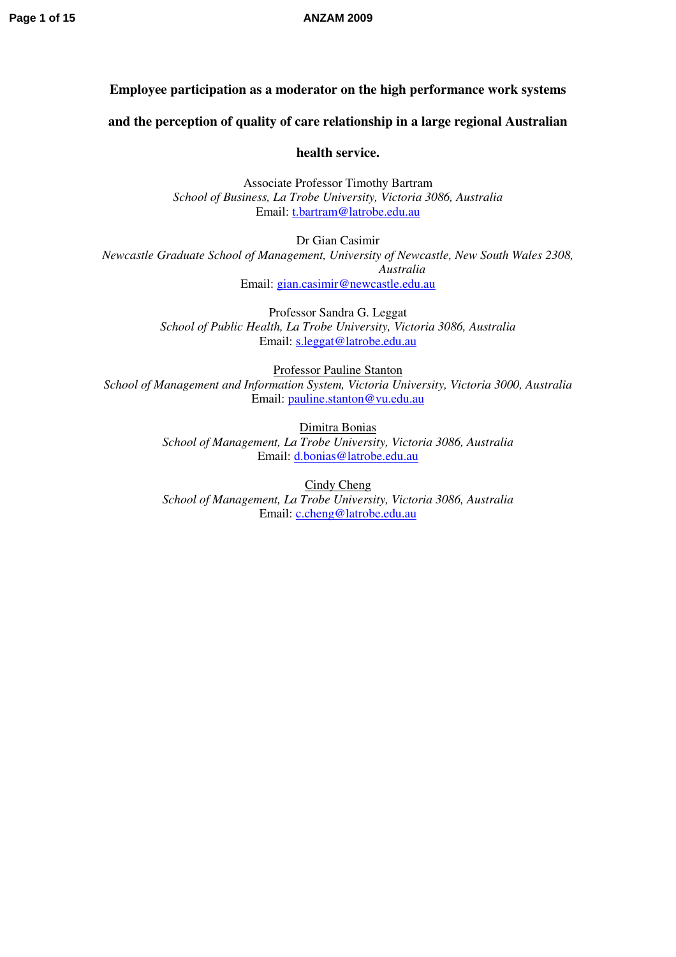# **Page 1 of 15 ANZAM 2009**

# **Employee participation as a moderator on the high performance work systems**

**and the perception of quality of care relationship in a large regional Australian** 

**health service.** 

Associate Professor Timothy Bartram *School of Business, La Trobe University, Victoria 3086, Australia*  Email: [t.bartram@latrobe.edu.au](mailto:t.bartram@latrobe.edu.au)

Dr Gian Casimir *Newcastle Graduate School of Management, University of Newcastle, New South Wales 2308, Australia*  Email: [gian.casimir@newcastle.edu.au](mailto:gian.casimir@newcastle.edu.au)

> Professor Sandra G. Leggat *School of Public Health, La Trobe University, Victoria 3086, Australia*  Email: [s.leggat@latrobe.edu.au](mailto:s.leggat@latrobe.edu.au)

Professor Pauline Stanton *School of Management and Information System, Victoria University, Victoria 3000, Australia*  Email: [pauline.stanton@vu.edu.au](mailto:pauline.stanton@vu.edu.au)

> Dimitra Bonias *School of Management, La Trobe University, Victoria 3086, Australia*  Email: [d.bonias@latrobe.edu.au](mailto:d.bonias@latrobe.edu.au)

> Cindy Cheng *School of Management, La Trobe University, Victoria 3086, Australia*  Email: [c.cheng@latrobe.edu.au](mailto:c.cheng@latrobe.edu.au)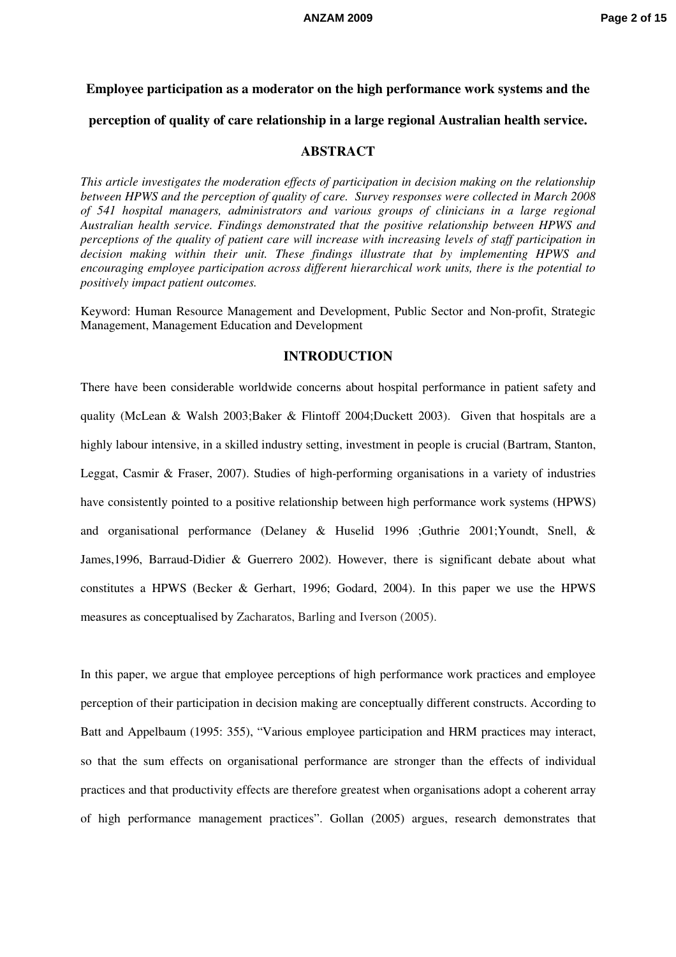# **Employee participation as a moderator on the high performance work systems and the perception of quality of care relationship in a large regional Australian health service.**

### **ABSTRACT**

*This article investigates the moderation effects of participation in decision making on the relationship between HPWS and the perception of quality of care. Survey responses were collected in March 2008 of 541 hospital managers, administrators and various groups of clinicians in a large regional Australian health service. Findings demonstrated that the positive relationship between HPWS and perceptions of the quality of patient care will increase with increasing levels of staff participation in decision making within their unit. These findings illustrate that by implementing HPWS and encouraging employee participation across different hierarchical work units, there is the potential to positively impact patient outcomes.* 

Keyword: Human Resource Management and Development, Public Sector and Non-profit, Strategic Management, Management Education and Development

### **INTRODUCTION**

There have been considerable worldwide concerns about hospital performance in patient safety and quality (McLean & Walsh 2003;Baker & Flintoff 2004;Duckett 2003). Given that hospitals are a highly labour intensive, in a skilled industry setting, investment in people is crucial (Bartram, Stanton, Leggat, Casmir & Fraser, 2007). Studies of high-performing organisations in a variety of industries have consistently pointed to a positive relationship between high performance work systems (HPWS) and organisational performance (Delaney & Huselid 1996 ;Guthrie 2001;Youndt, Snell, & James,1996, Barraud-Didier & Guerrero 2002). However, there is significant debate about what constitutes a HPWS (Becker & Gerhart, 1996; Godard, 2004). In this paper we use the HPWS measures as conceptualised by Zacharatos, Barling and Iverson (2005).

In this paper, we argue that employee perceptions of high performance work practices and employee perception of their participation in decision making are conceptually different constructs. According to Batt and Appelbaum (1995: 355), "Various employee participation and HRM practices may interact, so that the sum effects on organisational performance are stronger than the effects of individual practices and that productivity effects are therefore greatest when organisations adopt a coherent array of high performance management practices". Gollan (2005) argues, research demonstrates that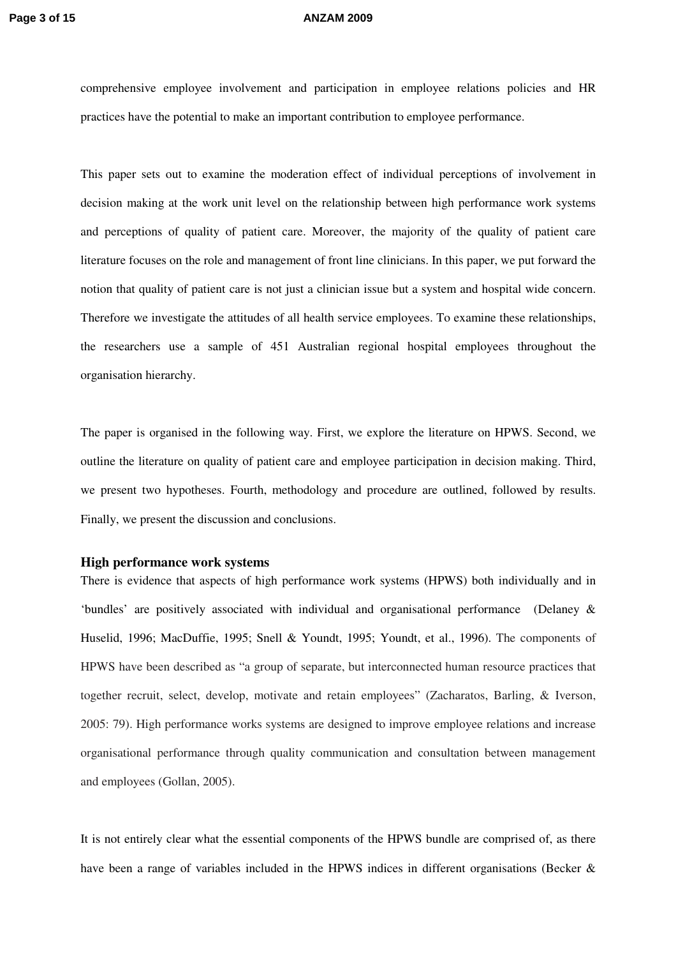comprehensive employee involvement and participation in employee relations policies and HR practices have the potential to make an important contribution to employee performance.

This paper sets out to examine the moderation effect of individual perceptions of involvement in decision making at the work unit level on the relationship between high performance work systems and perceptions of quality of patient care. Moreover, the majority of the quality of patient care literature focuses on the role and management of front line clinicians. In this paper, we put forward the notion that quality of patient care is not just a clinician issue but a system and hospital wide concern. Therefore we investigate the attitudes of all health service employees. To examine these relationships, the researchers use a sample of 451 Australian regional hospital employees throughout the organisation hierarchy.

The paper is organised in the following way. First, we explore the literature on HPWS. Second, we outline the literature on quality of patient care and employee participation in decision making. Third, we present two hypotheses. Fourth, methodology and procedure are outlined, followed by results. Finally, we present the discussion and conclusions.

### **High performance work systems**

There is evidence that aspects of high performance work systems (HPWS) both individually and in 'bundles' are positively associated with individual and organisational performance (Delaney & Huselid, 1996; MacDuffie, 1995; Snell & Youndt, 1995; Youndt, et al., 1996). The components of HPWS have been described as "a group of separate, but interconnected human resource practices that together recruit, select, develop, motivate and retain employees" (Zacharatos, Barling, & Iverson, 2005: 79). High performance works systems are designed to improve employee relations and increase organisational performance through quality communication and consultation between management and employees (Gollan, 2005).

It is not entirely clear what the essential components of the HPWS bundle are comprised of, as there have been a range of variables included in the HPWS indices in different organisations (Becker &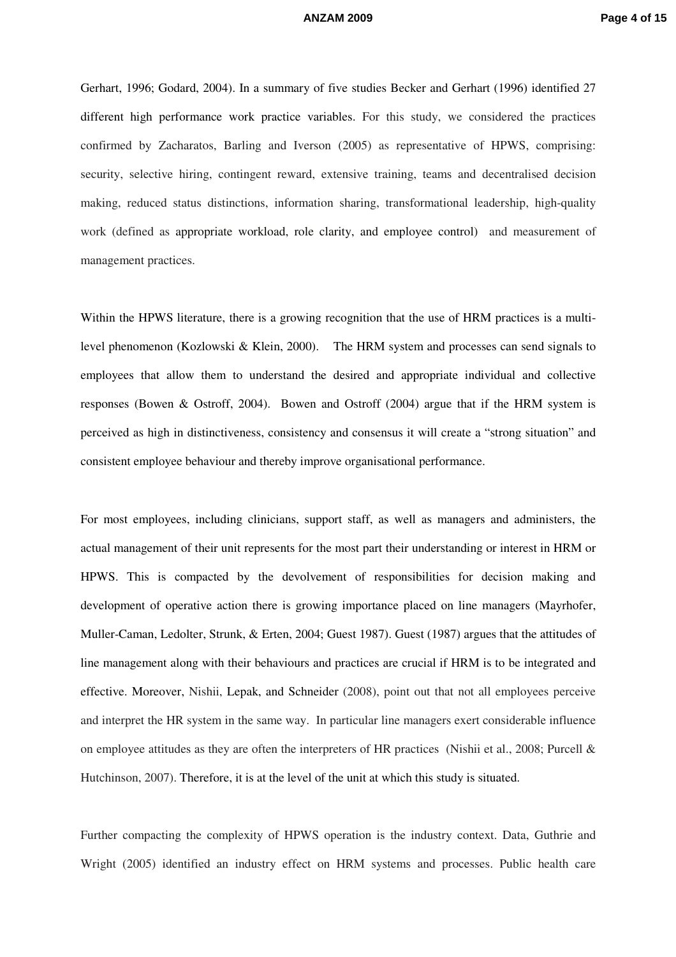### **ANZAM 2009 Page 4 of 15**

Gerhart, 1996; Godard, 2004). In a summary of five studies Becker and Gerhart (1996) identified 27 different high performance work practice variables. For this study, we considered the practices confirmed by Zacharatos, Barling and Iverson (2005) as representative of HPWS, comprising: security, selective hiring, contingent reward, extensive training, teams and decentralised decision making, reduced status distinctions, information sharing, transformational leadership, high-quality work (defined as appropriate workload, role clarity, and employee control) and measurement of management practices.

Within the HPWS literature, there is a growing recognition that the use of HRM practices is a multilevel phenomenon (Kozlowski & Klein, 2000). The HRM system and processes can send signals to employees that allow them to understand the desired and appropriate individual and collective responses (Bowen & Ostroff, 2004). Bowen and Ostroff (2004) argue that if the HRM system is perceived as high in distinctiveness, consistency and consensus it will create a "strong situation" and consistent employee behaviour and thereby improve organisational performance.

For most employees, including clinicians, support staff, as well as managers and administers, the actual management of their unit represents for the most part their understanding or interest in HRM or HPWS. This is compacted by the devolvement of responsibilities for decision making and development of operative action there is growing importance placed on line managers (Mayrhofer, Muller-Caman, Ledolter, Strunk, & Erten, 2004; Guest 1987). Guest (1987) argues that the attitudes of line management along with their behaviours and practices are crucial if HRM is to be integrated and effective. Moreover, Nishii, Lepak, and Schneider (2008), point out that not all employees perceive and interpret the HR system in the same way. In particular line managers exert considerable influence on employee attitudes as they are often the interpreters of HR practices (Nishii et al., 2008; Purcell & Hutchinson, 2007). Therefore, it is at the level of the unit at which this study is situated.

Further compacting the complexity of HPWS operation is the industry context. Data, Guthrie and Wright (2005) identified an industry effect on HRM systems and processes. Public health care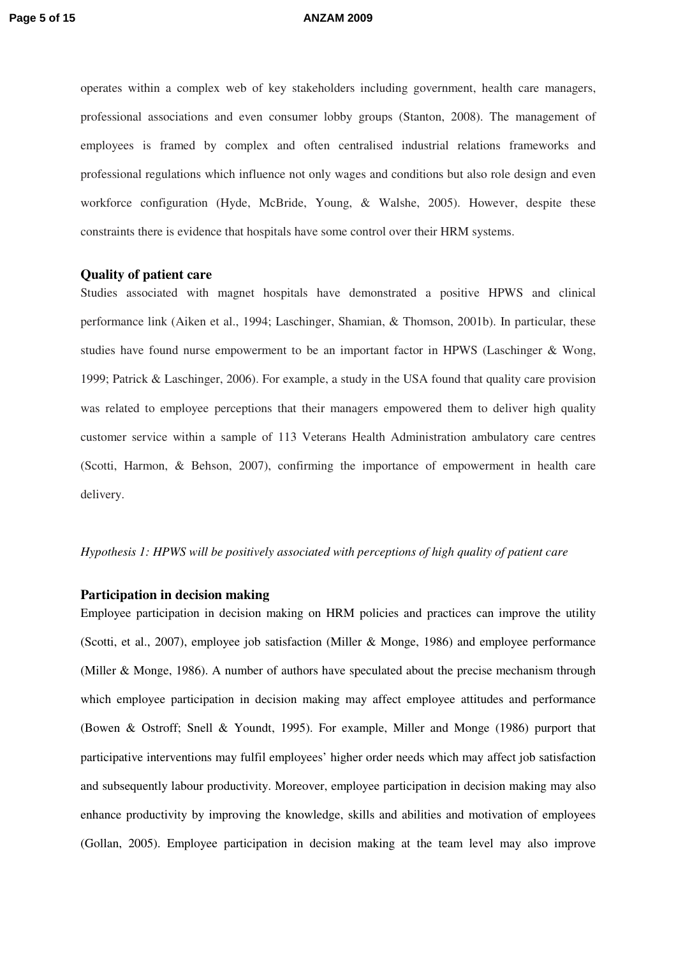operates within a complex web of key stakeholders including government, health care managers, professional associations and even consumer lobby groups (Stanton, 2008). The management of employees is framed by complex and often centralised industrial relations frameworks and professional regulations which influence not only wages and conditions but also role design and even workforce configuration (Hyde, McBride, Young, & Walshe, 2005). However, despite these constraints there is evidence that hospitals have some control over their HRM systems.

### **Quality of patient care**

Studies associated with magnet hospitals have demonstrated a positive HPWS and clinical performance link (Aiken et al., 1994; Laschinger, Shamian, & Thomson, 2001b). In particular, these studies have found nurse empowerment to be an important factor in HPWS (Laschinger & Wong, 1999; Patrick & Laschinger, 2006). For example, a study in the USA found that quality care provision was related to employee perceptions that their managers empowered them to deliver high quality customer service within a sample of 113 Veterans Health Administration ambulatory care centres (Scotti, Harmon, & Behson, 2007), confirming the importance of empowerment in health care delivery.

### *Hypothesis 1: HPWS will be positively associated with perceptions of high quality of patient care*

### **Participation in decision making**

Employee participation in decision making on HRM policies and practices can improve the utility (Scotti, et al., 2007), employee job satisfaction (Miller & Monge, 1986) and employee performance (Miller & Monge, 1986). A number of authors have speculated about the precise mechanism through which employee participation in decision making may affect employee attitudes and performance (Bowen & Ostroff; Snell & Youndt, 1995). For example, Miller and Monge (1986) purport that participative interventions may fulfil employees' higher order needs which may affect job satisfaction and subsequently labour productivity. Moreover, employee participation in decision making may also enhance productivity by improving the knowledge, skills and abilities and motivation of employees (Gollan, 2005). Employee participation in decision making at the team level may also improve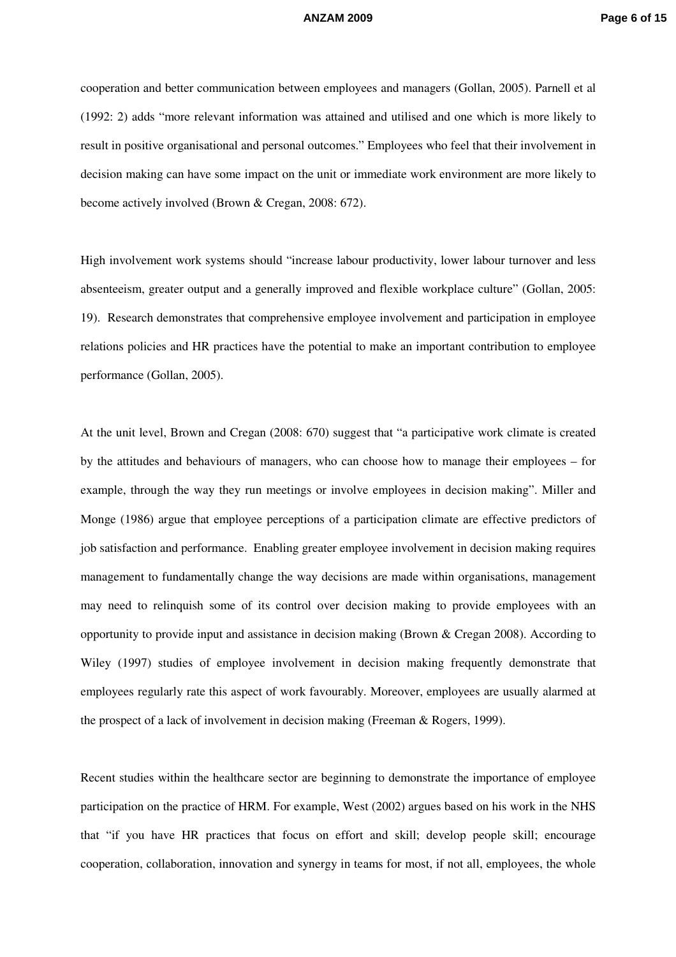cooperation and better communication between employees and managers (Gollan, 2005). Parnell et al (1992: 2) adds "more relevant information was attained and utilised and one which is more likely to result in positive organisational and personal outcomes." Employees who feel that their involvement in decision making can have some impact on the unit or immediate work environment are more likely to become actively involved (Brown & Cregan, 2008: 672).

High involvement work systems should "increase labour productivity, lower labour turnover and less absenteeism, greater output and a generally improved and flexible workplace culture" (Gollan, 2005: 19). Research demonstrates that comprehensive employee involvement and participation in employee relations policies and HR practices have the potential to make an important contribution to employee performance (Gollan, 2005).

At the unit level, Brown and Cregan (2008: 670) suggest that "a participative work climate is created by the attitudes and behaviours of managers, who can choose how to manage their employees – for example, through the way they run meetings or involve employees in decision making". Miller and Monge (1986) argue that employee perceptions of a participation climate are effective predictors of job satisfaction and performance. Enabling greater employee involvement in decision making requires management to fundamentally change the way decisions are made within organisations, management may need to relinquish some of its control over decision making to provide employees with an opportunity to provide input and assistance in decision making (Brown & Cregan 2008). According to Wiley (1997) studies of employee involvement in decision making frequently demonstrate that employees regularly rate this aspect of work favourably. Moreover, employees are usually alarmed at the prospect of a lack of involvement in decision making (Freeman & Rogers, 1999).

Recent studies within the healthcare sector are beginning to demonstrate the importance of employee participation on the practice of HRM. For example, West (2002) argues based on his work in the NHS that "if you have HR practices that focus on effort and skill; develop people skill; encourage cooperation, collaboration, innovation and synergy in teams for most, if not all, employees, the whole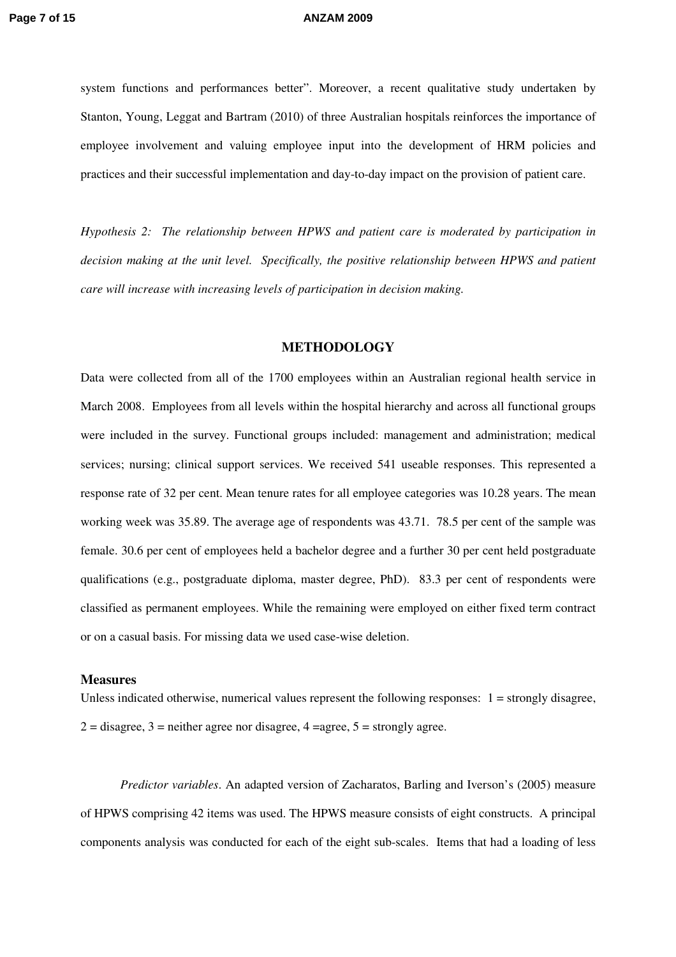system functions and performances better". Moreover, a recent qualitative study undertaken by Stanton, Young, Leggat and Bartram (2010) of three Australian hospitals reinforces the importance of employee involvement and valuing employee input into the development of HRM policies and practices and their successful implementation and day-to-day impact on the provision of patient care.

*Hypothesis 2: The relationship between HPWS and patient care is moderated by participation in decision making at the unit level. Specifically, the positive relationship between HPWS and patient care will increase with increasing levels of participation in decision making.* 

### **METHODOLOGY**

Data were collected from all of the 1700 employees within an Australian regional health service in March 2008. Employees from all levels within the hospital hierarchy and across all functional groups were included in the survey. Functional groups included: management and administration; medical services; nursing; clinical support services. We received 541 useable responses. This represented a response rate of 32 per cent. Mean tenure rates for all employee categories was 10.28 years. The mean working week was 35.89. The average age of respondents was 43.71. 78.5 per cent of the sample was female. 30.6 per cent of employees held a bachelor degree and a further 30 per cent held postgraduate qualifications (e.g., postgraduate diploma, master degree, PhD). 83.3 per cent of respondents were classified as permanent employees. While the remaining were employed on either fixed term contract or on a casual basis. For missing data we used case-wise deletion.

### **Measures**

Unless indicated otherwise, numerical values represent the following responses:  $1 =$  strongly disagree,  $2 =$  disagree,  $3 =$  neither agree nor disagree,  $4 =$  agree,  $5 =$  strongly agree.

*Predictor variables*. An adapted version of Zacharatos, Barling and Iverson's (2005) measure of HPWS comprising 42 items was used. The HPWS measure consists of eight constructs. A principal components analysis was conducted for each of the eight sub-scales. Items that had a loading of less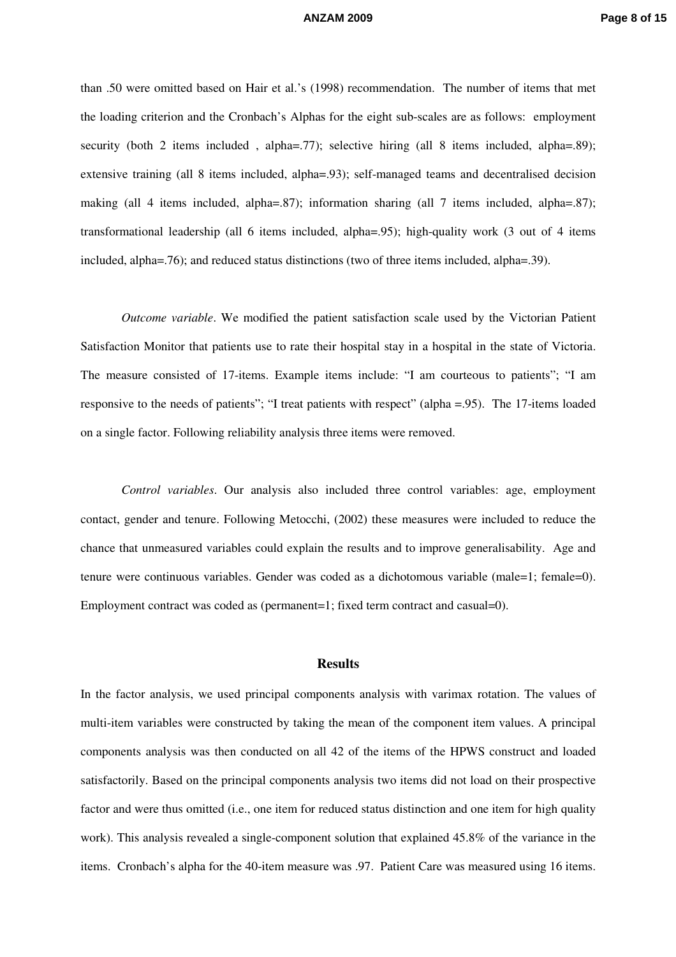than .50 were omitted based on Hair et al.'s (1998) recommendation. The number of items that met the loading criterion and the Cronbach's Alphas for the eight sub-scales are as follows: employment security (both 2 items included, alpha=.77); selective hiring (all 8 items included, alpha=.89); extensive training (all 8 items included, alpha=.93); self-managed teams and decentralised decision making (all 4 items included, alpha=.87); information sharing (all 7 items included, alpha=.87); transformational leadership (all 6 items included, alpha=.95); high-quality work (3 out of 4 items included, alpha=.76); and reduced status distinctions (two of three items included, alpha=.39).

*Outcome variable*. We modified the patient satisfaction scale used by the Victorian Patient Satisfaction Monitor that patients use to rate their hospital stay in a hospital in the state of Victoria. The measure consisted of 17-items. Example items include: "I am courteous to patients"; "I am responsive to the needs of patients"; "I treat patients with respect" (alpha =.95). The 17-items loaded on a single factor. Following reliability analysis three items were removed.

*Control variables*. Our analysis also included three control variables: age, employment contact, gender and tenure. Following Metocchi, (2002) these measures were included to reduce the chance that unmeasured variables could explain the results and to improve generalisability. Age and tenure were continuous variables. Gender was coded as a dichotomous variable (male=1; female=0). Employment contract was coded as (permanent=1; fixed term contract and casual=0).

### **Results**

In the factor analysis, we used principal components analysis with varimax rotation. The values of multi-item variables were constructed by taking the mean of the component item values. A principal components analysis was then conducted on all 42 of the items of the HPWS construct and loaded satisfactorily. Based on the principal components analysis two items did not load on their prospective factor and were thus omitted (i.e., one item for reduced status distinction and one item for high quality work). This analysis revealed a single-component solution that explained 45.8% of the variance in the items. Cronbach's alpha for the 40-item measure was .97. Patient Care was measured using 16 items.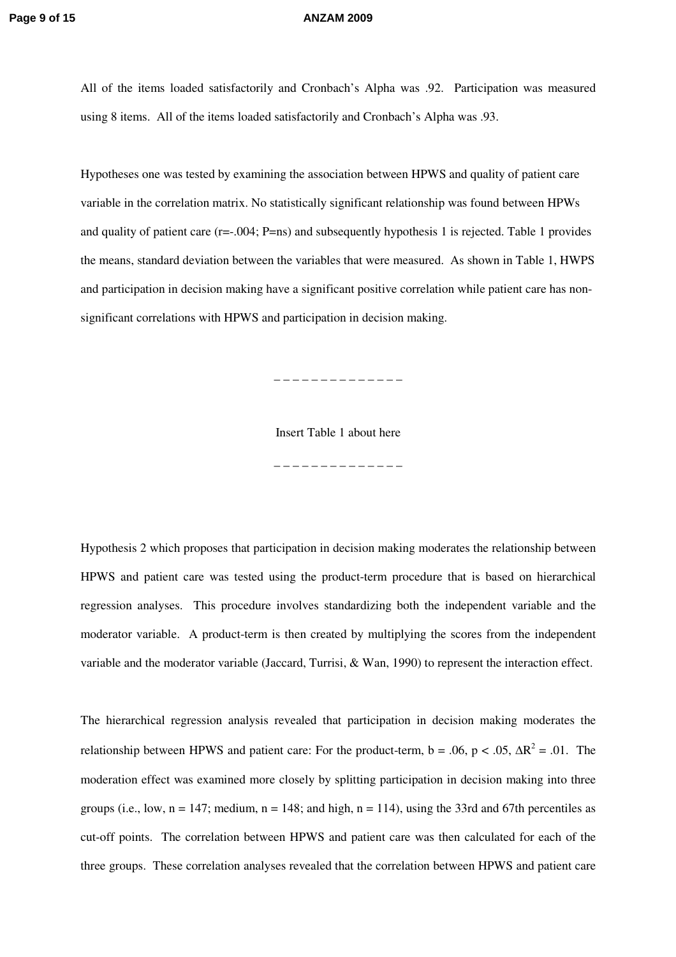All of the items loaded satisfactorily and Cronbach's Alpha was .92. Participation was measured using 8 items. All of the items loaded satisfactorily and Cronbach's Alpha was .93.

Hypotheses one was tested by examining the association between HPWS and quality of patient care variable in the correlation matrix. No statistically significant relationship was found between HPWs and quality of patient care (r=-.004; P=ns) and subsequently hypothesis 1 is rejected. Table 1 provides the means, standard deviation between the variables that were measured. As shown in Table 1, HWPS and participation in decision making have a significant positive correlation while patient care has nonsignificant correlations with HPWS and participation in decision making.

\_ \_ \_ \_ \_ \_ \_ \_ \_ \_ \_ \_ \_ \_

Insert Table 1 about here

\_ \_ \_ \_ \_ \_ \_ \_ \_ \_ \_ \_ \_ \_

Hypothesis 2 which proposes that participation in decision making moderates the relationship between HPWS and patient care was tested using the product-term procedure that is based on hierarchical regression analyses. This procedure involves standardizing both the independent variable and the moderator variable. A product-term is then created by multiplying the scores from the independent

The hierarchical regression analysis revealed that participation in decision making moderates the relationship between HPWS and patient care: For the product-term,  $b = .06$ ,  $p < .05$ ,  $\Delta R^2 = .01$ . The moderation effect was examined more closely by splitting participation in decision making into three groups (i.e., low,  $n = 147$ ; medium,  $n = 148$ ; and high,  $n = 114$ ), using the 33rd and 67th percentiles as cut-off points. The correlation between HPWS and patient care was then calculated for each of the three groups. These correlation analyses revealed that the correlation between HPWS and patient care

variable and the moderator variable (Jaccard, Turrisi, & Wan, 1990) to represent the interaction effect.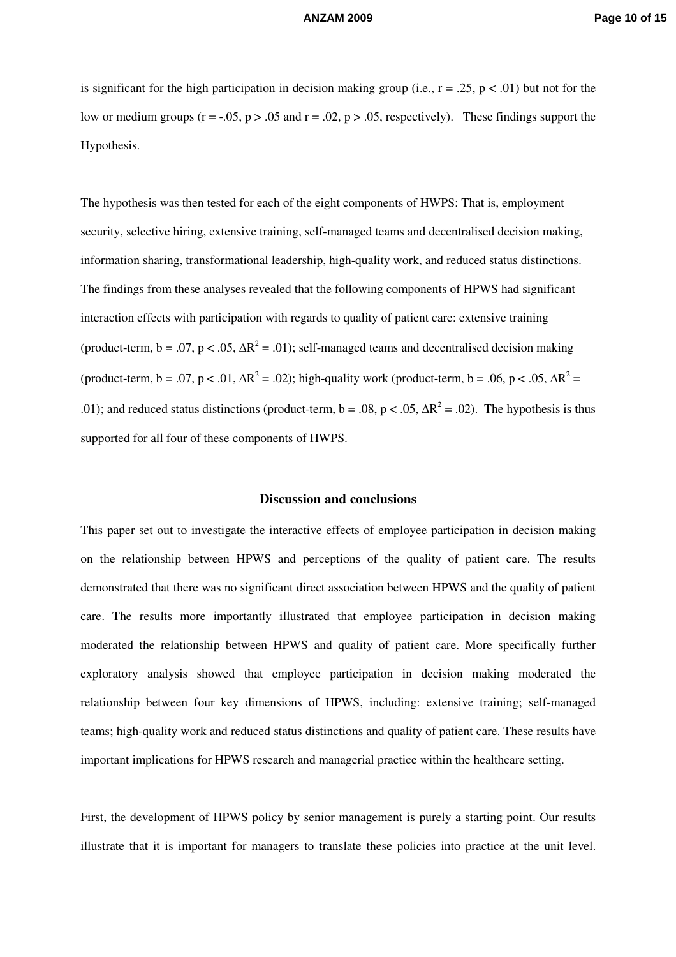is significant for the high participation in decision making group (i.e.,  $r = .25$ ,  $p < .01$ ) but not for the low or medium groups ( $r = -.05$ ,  $p > .05$  and  $r = .02$ ,  $p > .05$ , respectively). These findings support the Hypothesis.

The hypothesis was then tested for each of the eight components of HWPS: That is, employment security, selective hiring, extensive training, self-managed teams and decentralised decision making, information sharing, transformational leadership, high-quality work, and reduced status distinctions. The findings from these analyses revealed that the following components of HPWS had significant interaction effects with participation with regards to quality of patient care: extensive training (product-term,  $b = .07$ ,  $p < .05$ ,  $\Delta R^2 = .01$ ); self-managed teams and decentralised decision making (product-term, b = .07, p < .01,  $\Delta R^2$  = .02); high-quality work (product-term, b = .06, p < .05,  $\Delta R^2$  = .01); and reduced status distinctions (product-term,  $b = .08$ ,  $p < .05$ ,  $\Delta R^2 = .02$ ). The hypothesis is thus supported for all four of these components of HWPS.

### **Discussion and conclusions**

This paper set out to investigate the interactive effects of employee participation in decision making on the relationship between HPWS and perceptions of the quality of patient care. The results demonstrated that there was no significant direct association between HPWS and the quality of patient care. The results more importantly illustrated that employee participation in decision making moderated the relationship between HPWS and quality of patient care. More specifically further exploratory analysis showed that employee participation in decision making moderated the relationship between four key dimensions of HPWS, including: extensive training; self-managed teams; high-quality work and reduced status distinctions and quality of patient care. These results have important implications for HPWS research and managerial practice within the healthcare setting.

First, the development of HPWS policy by senior management is purely a starting point. Our results illustrate that it is important for managers to translate these policies into practice at the unit level.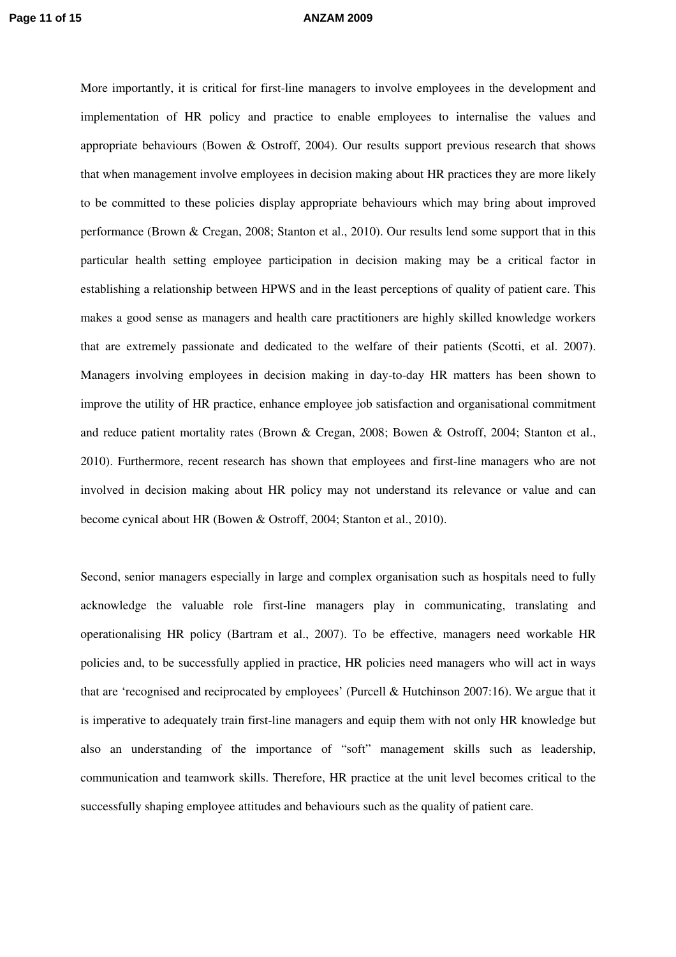More importantly, it is critical for first-line managers to involve employees in the development and implementation of HR policy and practice to enable employees to internalise the values and appropriate behaviours (Bowen & Ostroff, 2004). Our results support previous research that shows that when management involve employees in decision making about HR practices they are more likely to be committed to these policies display appropriate behaviours which may bring about improved performance (Brown & Cregan, 2008; Stanton et al., 2010). Our results lend some support that in this particular health setting employee participation in decision making may be a critical factor in establishing a relationship between HPWS and in the least perceptions of quality of patient care. This makes a good sense as managers and health care practitioners are highly skilled knowledge workers that are extremely passionate and dedicated to the welfare of their patients (Scotti, et al. 2007). Managers involving employees in decision making in day-to-day HR matters has been shown to improve the utility of HR practice, enhance employee job satisfaction and organisational commitment and reduce patient mortality rates (Brown & Cregan, 2008; Bowen & Ostroff, 2004; Stanton et al., 2010). Furthermore, recent research has shown that employees and first-line managers who are not involved in decision making about HR policy may not understand its relevance or value and can become cynical about HR (Bowen & Ostroff, 2004; Stanton et al., 2010).

Second, senior managers especially in large and complex organisation such as hospitals need to fully acknowledge the valuable role first-line managers play in communicating, translating and operationalising HR policy (Bartram et al., 2007). To be effective, managers need workable HR policies and, to be successfully applied in practice, HR policies need managers who will act in ways that are 'recognised and reciprocated by employees' (Purcell & Hutchinson 2007:16). We argue that it is imperative to adequately train first-line managers and equip them with not only HR knowledge but also an understanding of the importance of "soft" management skills such as leadership, communication and teamwork skills. Therefore, HR practice at the unit level becomes critical to the successfully shaping employee attitudes and behaviours such as the quality of patient care.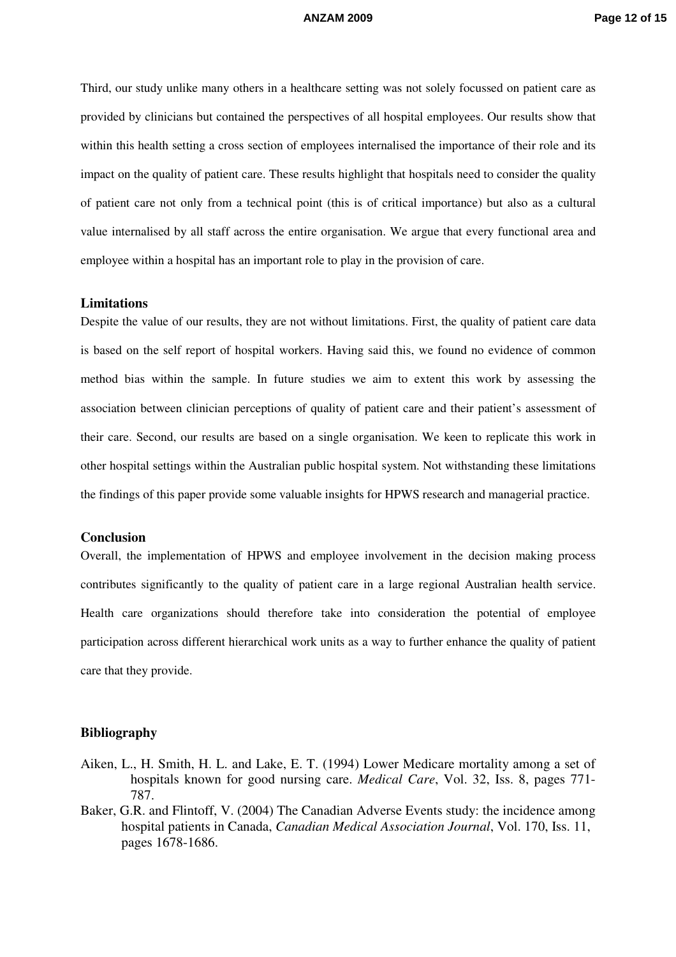Third, our study unlike many others in a healthcare setting was not solely focussed on patient care as provided by clinicians but contained the perspectives of all hospital employees. Our results show that within this health setting a cross section of employees internalised the importance of their role and its impact on the quality of patient care. These results highlight that hospitals need to consider the quality of patient care not only from a technical point (this is of critical importance) but also as a cultural value internalised by all staff across the entire organisation. We argue that every functional area and employee within a hospital has an important role to play in the provision of care.

### **Limitations**

Despite the value of our results, they are not without limitations. First, the quality of patient care data is based on the self report of hospital workers. Having said this, we found no evidence of common method bias within the sample. In future studies we aim to extent this work by assessing the association between clinician perceptions of quality of patient care and their patient's assessment of their care. Second, our results are based on a single organisation. We keen to replicate this work in other hospital settings within the Australian public hospital system. Not withstanding these limitations the findings of this paper provide some valuable insights for HPWS research and managerial practice.

### **Conclusion**

Overall, the implementation of HPWS and employee involvement in the decision making process contributes significantly to the quality of patient care in a large regional Australian health service. Health care organizations should therefore take into consideration the potential of employee participation across different hierarchical work units as a way to further enhance the quality of patient care that they provide.

### **Bibliography**

- Aiken, L., H. Smith, H. L. and Lake, E. T. (1994) Lower Medicare mortality among a set of hospitals known for good nursing care. *Medical Care*, Vol. 32, Iss. 8, pages 771- 787.
- Baker, G.R. and Flintoff, V. (2004) The Canadian Adverse Events study: the incidence among hospital patients in Canada, *Canadian Medical Association Journal*, Vol. 170, Iss. 11, pages 1678-1686.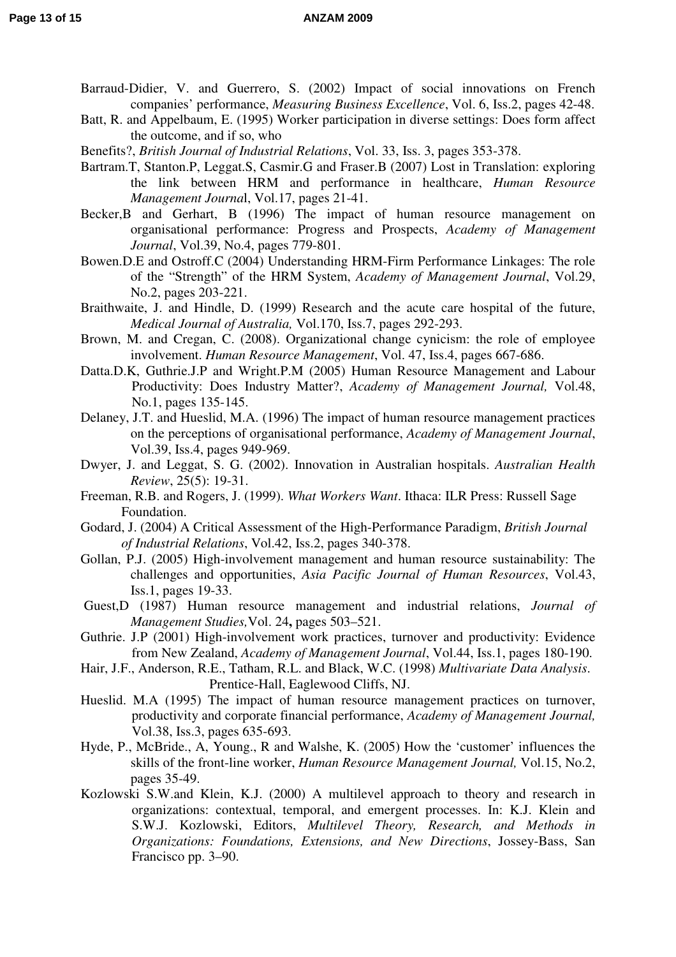- Barraud-Didier, V. and Guerrero, S. (2002) Impact of social innovations on French companies' performance, *Measuring Business Excellence*, Vol. 6, Iss.2, pages 42-48.
- Batt, R. and Appelbaum, E. (1995) Worker participation in diverse settings: Does form affect the outcome, and if so, who
- Benefits?, *British Journal of Industrial Relations*, Vol. 33, Iss. 3, pages 353-378.
- Bartram.T, Stanton.P, Leggat.S, Casmir.G and Fraser.B (2007) Lost in Translation: exploring the link between HRM and performance in healthcare, *Human Resource Management Journa*l, Vol.17, pages 21-41.
- Becker, B and Gerhart, B (1996) The impact of human resource management on organisational performance: Progress and Prospects, *Academy of Management Journal*, Vol.39, No.4, pages 779-801.
- Bowen.D.E and Ostroff.C (2004) Understanding HRM-Firm Performance Linkages: The role of the "Strength" of the HRM System, *Academy of Management Journal*, Vol.29, No.2, pages 203-221.
- Braithwaite, J. and Hindle, D. (1999) Research and the acute care hospital of the future, *Medical Journal of Australia,* Vol.170, Iss.7, pages 292-293.
- Brown, M. and Cregan, C. (2008). Organizational change cynicism: the role of employee involvement. *Human Resource Management*, Vol. 47, Iss.4, pages 667-686.
- Datta.D.K, Guthrie.J.P and Wright.P.M (2005) Human Resource Management and Labour Productivity: Does Industry Matter?, *Academy of Management Journal,* Vol.48, No.1, pages 135-145.
- Delaney, J.T. and Hueslid, M.A. (1996) The impact of human resource management practices on the perceptions of organisational performance, *Academy of Management Journal*, Vol.39, Iss.4, pages 949-969.
- Dwyer, J. and Leggat, S. G. (2002). Innovation in Australian hospitals. *Australian Health Review*, 25(5): 19-31.
- Freeman, R.B. and Rogers, J. (1999). *What Workers Want*. Ithaca: ILR Press: Russell Sage Foundation.
- Godard, J. (2004) A Critical Assessment of the High-Performance Paradigm, *British Journal of Industrial Relations*, Vol.42, Iss.2, pages 340-378.
- Gollan, P.J. (2005) High-involvement management and human resource sustainability: The challenges and opportunities, *Asia Pacific Journal of Human Resources*, Vol.43, Iss.1, pages 19-33.
- Guest,D (1987) Human resource management and industrial relations, *Journal of Management Studies,*Vol. 24**,** pages 503–521.
- Guthrie. J.P (2001) High-involvement work practices, turnover and productivity: Evidence from New Zealand, *Academy of Management Journal*, Vol.44, Iss.1, pages 180-190.
- Hair, J.F., Anderson, R.E., Tatham, R.L. and Black, W.C. (1998) *Multivariate Data Analysis*. Prentice-Hall, Eaglewood Cliffs, NJ.
- Hueslid. M.A (1995) The impact of human resource management practices on turnover, productivity and corporate financial performance, *Academy of Management Journal,*  Vol.38, Iss.3, pages 635-693.
- Hyde, P., McBride., A, Young., R and Walshe, K. (2005) How the 'customer' influences the skills of the front-line worker, *Human Resource Management Journal,* Vol.15, No.2, pages 35-49.
- Kozlowski S.W.and Klein, K.J. (2000) A multilevel approach to theory and research in organizations: contextual, temporal, and emergent processes. In: K.J. Klein and S.W.J. Kozlowski, Editors, *Multilevel Theory, Research, and Methods in Organizations: Foundations, Extensions, and New Directions*, Jossey-Bass, San Francisco pp. 3–90.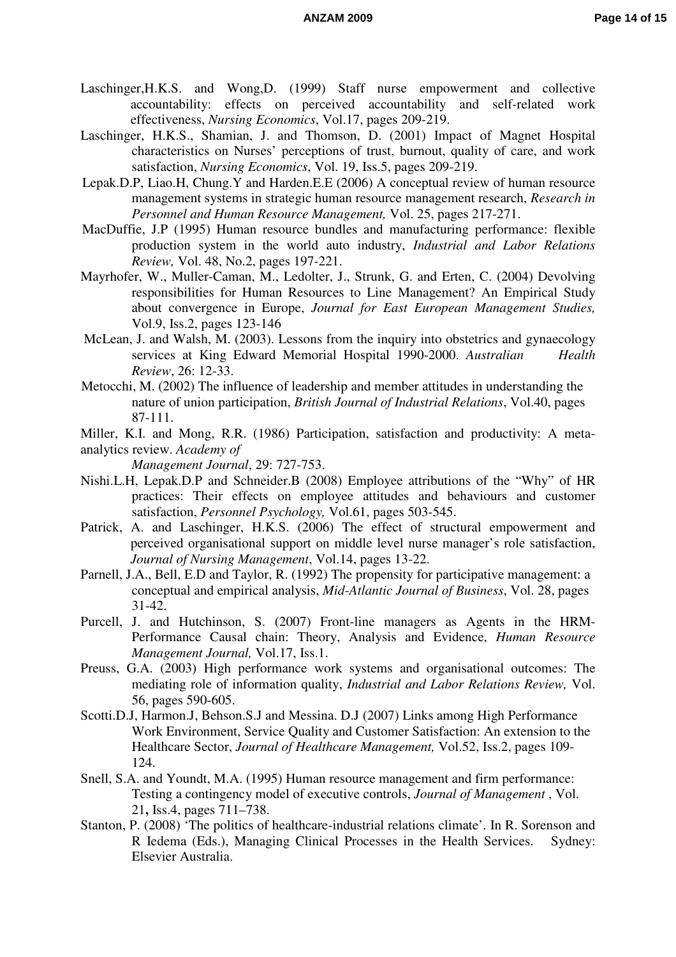- Laschinger,H.K.S. and Wong,D. (1999) Staff nurse empowerment and collective accountability: effects on perceived accountability and self-related work effectiveness, *Nursing Economics*, Vol.17, pages 209-219.
- Laschinger, H.K.S., Shamian, J. and Thomson, D. (2001) Impact of Magnet Hospital characteristics on Nurses' perceptions of trust, burnout, quality of care, and work satisfaction, *Nursing Economics*, Vol. 19, Iss.5, pages 209-219.
- Lepak.D.P, Liao.H, Chung.Y and Harden.E.E (2006) A conceptual review of human resource management systems in strategic human resource management research, *Research in Personnel and Human Resource Management,* Vol. 25, pages 217-271.
- MacDuffie, J.P (1995) Human resource bundles and manufacturing performance: flexible production system in the world auto industry, *Industrial and Labor Relations Review,* Vol. 48, No.2, pages 197-221.
- Mayrhofer, W., Muller-Caman, M., Ledolter, J., Strunk, G. and Erten, C. (2004) Devolving responsibilities for Human Resources to Line Management? An Empirical Study about convergence in Europe, *Journal for East European Management Studies,*  Vol.9, Iss.2, pages 123-146
- McLean, J. and Walsh, M. (2003). Lessons from the inquiry into obstetrics and gynaecology services at King Edward Memorial Hospital 1990-2000. *Australian Health Review*, 26: 12-33.
- Metocchi, M. (2002) The influence of leadership and member attitudes in understanding the nature of union participation, *British Journal of Industrial Relations*, Vol.40, pages 87-111.
- Miller, K.I. and Mong, R.R. (1986) Participation, satisfaction and productivity: A metaanalytics review. *Academy of*

*Management Journal*, 29: 727-753.

- Nishi.L.H, Lepak.D.P and Schneider.B (2008) Employee attributions of the "Why" of HR practices: Their effects on employee attitudes and behaviours and customer satisfaction, *Personnel Psychology,* Vol.61, pages 503-545.
- Patrick, A. and Laschinger, H.K.S. (2006) The effect of structural empowerment and perceived organisational support on middle level nurse manager's role satisfaction, *Journal of Nursing Management*, Vol.14, pages 13-22.
- Parnell, J.A., Bell, E.D and Taylor, R. (1992) The propensity for participative management: a conceptual and empirical analysis, *Mid-Atlantic Journal of Business*, Vol. 28, pages 31-42.
- Purcell, J. and Hutchinson, S. (2007) Front-line managers as Agents in the HRM-Performance Causal chain: Theory, Analysis and Evidence, *Human Resource Management Journal,* Vol.17, Iss.1.
- Preuss, G.A. (2003) High performance work systems and organisational outcomes: The mediating role of information quality, *Industrial and Labor Relations Review,* Vol. 56, pages 590-605.
- Scotti.D.J, Harmon.J, Behson.S.J and Messina. D.J (2007) Links among High Performance Work Environment, Service Quality and Customer Satisfaction: An extension to the Healthcare Sector, *Journal of Healthcare Management,* Vol.52, Iss.2, pages 109- 124.
- Snell, S.A. and Youndt, M.A. (1995) Human resource management and firm performance: Testing a contingency model of executive controls, *Journal of Management* , Vol. 21**,** Iss.4, pages 711–738.
- Stanton, P. (2008) 'The politics of healthcare-industrial relations climate'. In R. Sorenson and R Iedema (Eds.), Managing Clinical Processes in the Health Services. Sydney: Elsevier Australia.